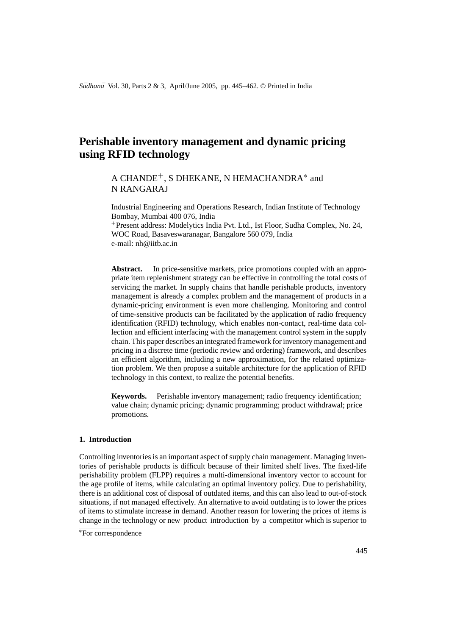# **Perishable inventory management and dynamic pricing using RFID technology**

A CHANDE<sup>+</sup>, S DHEKANE, N HEMACHANDRA<sup>\*</sup> and N RANGARAJ

Industrial Engineering and Operations Research, Indian Institute of Technology Bombay, Mumbai 400 076, India

<sup>+</sup>Present address: Modelytics India Pvt. Ltd., Ist Floor, Sudha Complex, No. 24, WOC Road, Basaveswaranagar, Bangalore 560 079, India e-mail: nh@iitb.ac.in

Abstract. In price-sensitive markets, price promotions coupled with an appropriate item replenishment strategy can be effective in controlling the total costs of servicing the market. In supply chains that handle perishable products, inventory management is already a complex problem and the management of products in a dynamic-pricing environment is even more challenging. Monitoring and control of time-sensitive products can be facilitated by the application of radio frequency identification (RFID) technology, which enables non-contact, real-time data collection and efficient interfacing with the management control system in the supply chain. This paper describes an integrated framework for inventory management and pricing in a discrete time (periodic review and ordering) framework, and describes an efficient algorithm, including a new approximation, for the related optimization problem. We then propose a suitable architecture for the application of RFID technology in this context, to realize the potential benefits.

**Keywords.** Perishable inventory management; radio frequency identification; value chain; dynamic pricing; dynamic programming; product withdrawal; price promotions.

# **1. Introduction**

Controlling inventories is an important aspect of supply chain management. Managing inventories of perishable products is difficult because of their limited shelf lives. The fixed-life perishability problem (FLPP) requires a multi-dimensional inventory vector to account for the age profile of items, while calculating an optimal inventory policy. Due to perishability, there is an additional cost of disposal of outdated items, and this can also lead to out-of-stock situations, if not managed effectively. An alternative to avoid outdating is to lower the prices of items to stimulate increase in demand. Another reason for lowering the prices of items is change in the technology or new product introduction by a competitor which is superior to

<sup>∗</sup>For correspondence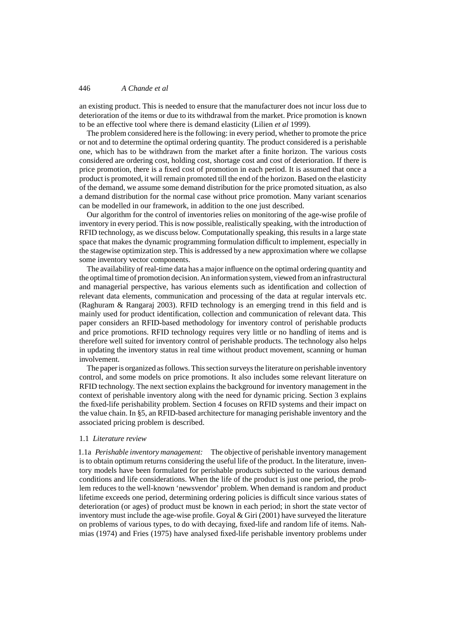an existing product. This is needed to ensure that the manufacturer does not incur loss due to deterioration of the items or due to its withdrawal from the market. Price promotion is known to be an effective tool where there is demand elasticity (Lilien *et al* 1999).

The problem considered here is the following: in every period, whether to promote the price or not and to determine the optimal ordering quantity. The product considered is a perishable one, which has to be withdrawn from the market after a finite horizon. The various costs considered are ordering cost, holding cost, shortage cost and cost of deterioration. If there is price promotion, there is a fixed cost of promotion in each period. It is assumed that once a product is promoted, it will remain promoted till the end of the horizon. Based on the elasticity of the demand, we assume some demand distribution for the price promoted situation, as also a demand distribution for the normal case without price promotion. Many variant scenarios can be modelled in our framework, in addition to the one just described.

Our algorithm for the control of inventories relies on monitoring of the age-wise profile of inventory in every period. This is now possible, realistically speaking, with the introduction of RFID technology, as we discuss below. Computationally speaking, this results in a large state space that makes the dynamic programming formulation difficult to implement, especially in the stagewise optimization step. This is addressed by a new approximation where we collapse some inventory vector components.

The availability of real-time data has a major influence on the optimal ordering quantity and the optimal time of promotion decision. An information system, viewed from an infrastructural and managerial perspective, has various elements such as identification and collection of relevant data elements, communication and processing of the data at regular intervals etc. (Raghuram & Rangaraj 2003). RFID technology is an emerging trend in this field and is mainly used for product identification, collection and communication of relevant data. This paper considers an RFID-based methodology for inventory control of perishable products and price promotions. RFID technology requires very little or no handling of items and is therefore well suited for inventory control of perishable products. The technology also helps in updating the inventory status in real time without product movement, scanning or human involvement.

The paper is organized as follows. This section surveys the literature on perishable inventory control, and some models on price promotions. It also includes some relevant literature on RFID technology. The next section explains the background for inventory management in the context of perishable inventory along with the need for dynamic pricing. Section 3 explains the fixed-life perishability problem. Section 4 focuses on RFID systems and their impact on the value chain. In §5, an RFID-based architecture for managing perishable inventory and the associated pricing problem is described.

#### 1.1 *Literature review*

1.1a *Perishable inventory management:* The objective of perishable inventory management is to obtain optimum returns considering the useful life of the product. In the literature, inventory models have been formulated for perishable products subjected to the various demand conditions and life considerations. When the life of the product is just one period, the problem reduces to the well-known 'newsvendor' problem. When demand is random and product lifetime exceeds one period, determining ordering policies is difficult since various states of deterioration (or ages) of product must be known in each period; in short the state vector of inventory must include the age-wise profile. Goyal & Giri  $(2001)$  have surveyed the literature on problems of various types, to do with decaying, fixed-life and random life of items. Nahmias (1974) and Fries (1975) have analysed fixed-life perishable inventory problems under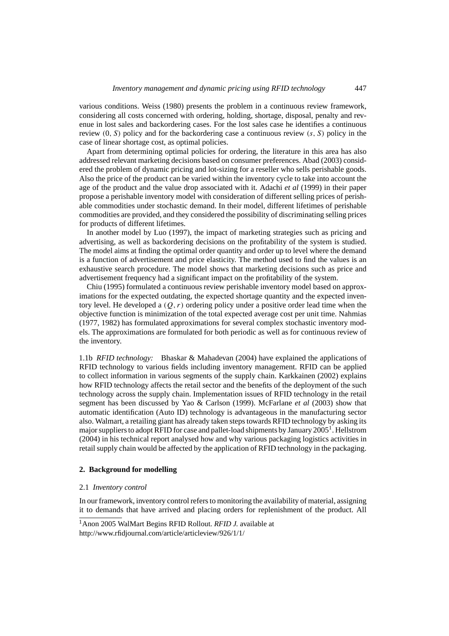various conditions. Weiss (1980) presents the problem in a continuous review framework, considering all costs concerned with ordering, holding, shortage, disposal, penalty and revenue in lost sales and backordering cases. For the lost sales case he identifies a continuous review  $(0, S)$  policy and for the backordering case a continuous review  $(s, S)$  policy in the case of linear shortage cost, as optimal policies.

Apart from determining optimal policies for ordering, the literature in this area has also addressed relevant marketing decisions based on consumer preferences. Abad (2003) considered the problem of dynamic pricing and lot-sizing for a reseller who sells perishable goods. Also the price of the product can be varied within the inventory cycle to take into account the age of the product and the value drop associated with it. Adachi *et al* (1999) in their paper propose a perishable inventory model with consideration of different selling prices of perishable commodities under stochastic demand. In their model, different lifetimes of perishable commodities are provided, and they considered the possibility of discriminating selling prices for products of different lifetimes.

In another model by Luo (1997), the impact of marketing strategies such as pricing and advertising, as well as backordering decisions on the profitability of the system is studied. The model aims at finding the optimal order quantity and order up to level where the demand is a function of advertisement and price elasticity. The method used to find the values is an exhaustive search procedure. The model shows that marketing decisions such as price and advertisement frequency had a significant impact on the profitability of the system.

Chiu (1995) formulated a continuous review perishable inventory model based on approximations for the expected outdating, the expected shortage quantity and the expected inventory level. He developed a  $(O, r)$  ordering policy under a positive order lead time when the objective function is minimization of the total expected average cost per unit time. Nahmias (1977, 1982) has formulated approximations for several complex stochastic inventory models. The approximations are formulated for both periodic as well as for continuous review of the inventory.

1.1b *RFID technology:* Bhaskar & Mahadevan (2004) have explained the applications of RFID technology to various fields including inventory management. RFID can be applied to collect information in various segments of the supply chain. Karkkainen (2002) explains how RFID technology affects the retail sector and the benefits of the deployment of the such technology across the supply chain. Implementation issues of RFID technology in the retail segment has been discussed by Yao & Carlson (1999). McFarlane *et al* (2003) show that automatic identification (Auto ID) technology is advantageous in the manufacturing sector also. Walmart, a retailing giant has already taken steps towards RFID technology by asking its major suppliers to adopt RFID for case and pallet-load shipments by January 20051. Hellstrom (2004) in his technical report analysed how and why various packaging logistics activities in retail supply chain would be affected by the application of RFID technology in the packaging.

### **2. Background for modelling**

#### 2.1 *Inventory control*

In our framework, inventory control refers to monitoring the availability of material, assigning it to demands that have arrived and placing orders for replenishment of the product. All

<sup>1</sup>Anon 2005 WalMart Begins RFID Rollout. *RFID J.* available at http://www.rfidjournal.com/article/articleview/926/1/1/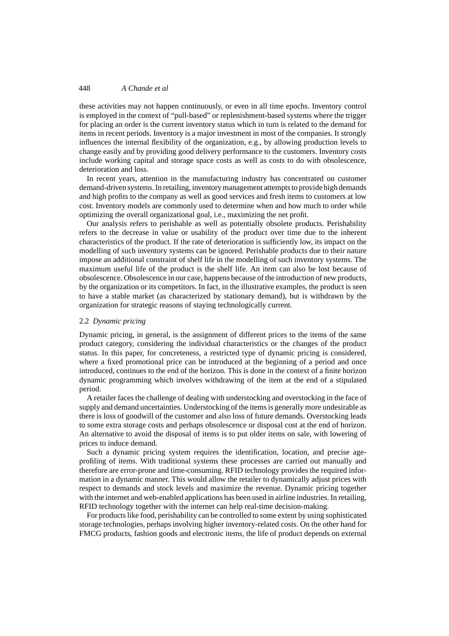these activities may not happen continuously, or even in all time epochs. Inventory control is employed in the context of "pull-based" or replenishment-based systems where the trigger for placing an order is the current inventory status which in turn is related to the demand for items in recent periods. Inventory is a major investment in most of the companies. It strongly influences the internal flexibility of the organization, e.g., by allowing production levels to change easily and by providing good delivery performance to the customers. Inventory costs include working capital and storage space costs as well as costs to do with obsolescence, deterioration and loss.

In recent years, attention in the manufacturing industry has concentrated on customer demand-driven systems. In retailing, inventory management attempts to provide high demands and high profits to the company as well as good services and fresh items to customers at low cost. Inventory models are commonly used to determine when and how much to order while optimizing the overall organizational goal, i.e., maximizing the net profit.

Our analysis refers to perishable as well as potentially obsolete products. Perishability refers to the decrease in value or usability of the product over time due to the inherent characteristics of the product. If the rate of deterioration is sufficiently low, its impact on the modelling of such inventory systems can be ignored. Perishable products due to their nature impose an additional constraint of shelf life in the modelling of such inventory systems. The maximum useful life of the product is the shelf life. An item can also be lost because of obsolescence. Obsolescence in our case, happens because of the introduction of new products, by the organization or its competitors. In fact, in the illustrative examples, the product is seen to have a stable market (as characterized by stationary demand), but is withdrawn by the organization for strategic reasons of staying technologically current.

### 2.2 *Dynamic pricing*

Dynamic pricing, in general, is the assignment of different prices to the items of the same product category, considering the individual characteristics or the changes of the product status. In this paper, for concreteness, a restricted type of dynamic pricing is considered, where a fixed promotional price can be introduced at the beginning of a period and once introduced, continues to the end of the horizon. This is done in the context of a finite horizon dynamic programming which involves withdrawing of the item at the end of a stipulated period.

A retailer faces the challenge of dealing with understocking and overstocking in the face of supply and demand uncertainties. Understocking of the items is generally more undesirable as there is loss of goodwill of the customer and also loss of future demands. Overstocking leads to some extra storage costs and perhaps obsolescence or disposal cost at the end of horizon. An alternative to avoid the disposal of items is to put older items on sale, with lowering of prices to induce demand.

Such a dynamic pricing system requires the identification, location, and precise ageprofiling of items. With traditional systems these processes are carried out manually and therefore are error-prone and time-consuming. RFID technology provides the required information in a dynamic manner. This would allow the retailer to dynamically adjust prices with respect to demands and stock levels and maximize the revenue. Dynamic pricing together with the internet and web-enabled applications has been used in airline industries. In retailing, RFID technology together with the internet can help real-time decision-making.

For products like food, perishability can be controlled to some extent by using sophisticated storage technologies, perhaps involving higher inventory-related costs. On the other hand for FMCG products, fashion goods and electronic items, the life of product depends on external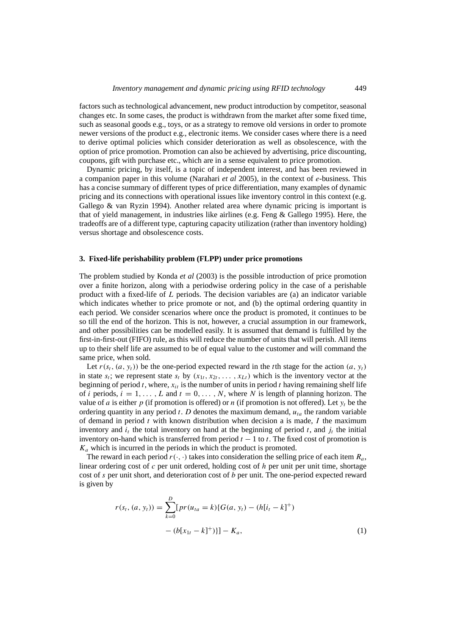factors such as technological advancement, new product introduction by competitor, seasonal changes etc. In some cases, the product is withdrawn from the market after some fixed time, such as seasonal goods e.g., toys, or as a strategy to remove old versions in order to promote newer versions of the product e.g., electronic items. We consider cases where there is a need to derive optimal policies which consider deterioration as well as obsolescence, with the option of price promotion. Promotion can also be achieved by advertising, price discounting, coupons, gift with purchase etc., which are in a sense equivalent to price promotion.

Dynamic pricing, by itself, is a topic of independent interest, and has been reviewed in a companion paper in this volume (Narahari *et al* 2005), in the context of e-business. This has a concise summary of different types of price differentiation, many examples of dynamic pricing and its connections with operational issues like inventory control in this context (e.g. Gallego  $\&$  van Ryzin 1994). Another related area where dynamic pricing is important is that of yield management, in industries like airlines (e.g. Feng & Gallego 1995). Here, the tradeoffs are of a different type, capturing capacity utilization (rather than inventory holding) versus shortage and obsolescence costs.

#### **3. Fixed-life perishability problem (FLPP) under price promotions**

The problem studied by Konda *et al* (2003) is the possible introduction of price promotion over a finite horizon, along with a periodwise ordering policy in the case of a perishable product with a fixed-life of  $L$  periods. The decision variables are (a) an indicator variable which indicates whether to price promote or not, and (b) the optimal ordering quantity in each period. We consider scenarios where once the product is promoted, it continues to be so till the end of the horizon. This is not, however, a crucial assumption in our framework, and other possibilities can be modelled easily. It is assumed that demand is fulfilled by the first-in-first-out (FIFO) rule, as this will reduce the number of units that will perish. All items up to their shelf life are assumed to be of equal value to the customer and will command the same price, when sold.

Let  $r(s_t, (a, y_t))$  be the one-period expected reward in the t<sup>th</sup> stage for the action  $(a, y_t)$ in state  $s_t$ ; we represent state  $s_t$  by  $(x_{1t}, x_{2t}, \ldots, x_{Lt})$  which is the inventory vector at the beginning of period t, where,  $x_{it}$  is the number of units in period t having remaining shelf life of i periods,  $i = 1, \ldots, L$  and  $t = 0, \ldots, N$ , where N is length of planning horizon. The value of a is either p (if promotion is offered) or n (if promotion is not offered). Let  $y_t$  be the ordering quantity in any period  $t$ . D denotes the maximum demand,  $u_{ta}$  the random variable of demand in period  $t$  with known distribution when decision a is made,  $I$  the maximum inventory and  $i<sub>t</sub>$ , the total inventory on hand at the beginning of period t, and  $i<sub>t</sub>$ , the initial inventory on-hand which is transferred from period  $t - 1$  to  $t$ . The fixed cost of promotion is  $K_a$  which is incurred in the periods in which the product is promoted.

The reward in each period  $r(\cdot, \cdot)$  takes into consideration the selling price of each item  $R_a$ , linear ordering cost of  $c$  per unit ordered, holding cost of  $h$  per unit time, shortage cost of s per unit short, and deterioration cost of  $b$  per unit. The one-period expected reward is given by

$$
r(s_t, (a, y_t)) = \sum_{k=0}^{D} [pr(u_{ta} = k) \{ G(a, y_t) - (h[i_t - k]^+)
$$

$$
- (b[x_{1t} - k]^+)] - K_a,
$$
 (1)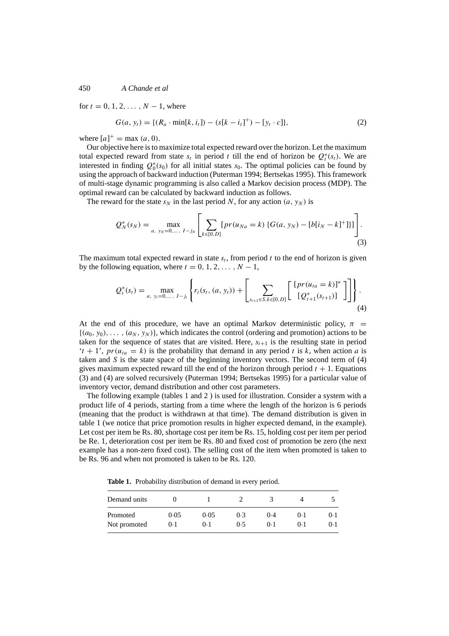for  $t = 0, 1, 2, \ldots, N - 1$ , where

$$
G(a, y_t) = \{ (R_a \cdot \min[k, i_t]) - (s[k - i_t]^+) - [y_t \cdot c] \},
$$
\n(2)

where  $[a]^{+} = \max(a, 0)$ .

Our objective here is to maximize total expected reward over the horizon. Let the maximum total expected reward from state  $s_t$  in period t till the end of horizon be  $Q_t^*(s_t)$ . We are interested in finding  $Q_0^*(s_0)$  for all initial states  $s_0$ . The optimal policies can be found by using the approach of backward induction (Puterman 1994; Bertsekas 1995). This framework of multi-stage dynamic programming is also called a Markov decision process (MDP). The optimal reward can be calculated by backward induction as follows.

The reward for the state  $s_N$  in the last period N, for any action  $(a, y_N)$  is

$$
Q_N^*(s_N) = \max_{a, y_N = 0, \dots, I-j_N} \left[ \sum_{k \in [0, D]} [pr(u_{Na} = k) \{ G(a, y_N) - [b[i_N - k]^+] \} ] \right].
$$
\n(3)

The maximum total expected reward in state  $s_t$ , from period t to the end of horizon is given by the following equation, where  $t = 0, 1, 2, \ldots, N - 1$ ,

$$
Q_t^*(s_t) = \max_{a, y_t = 0,..., I-j_t} \left\{ r_t(s_t, (a, y_t)) + \left[ \sum_{s_{t+1} \in S, k \in [0, D]} \left[ \frac{[pr(u_{ta} = k)]^*}{[Q_{t+1}^*(s_{t+1})]} \right] \right] \right\}.
$$
\n(4)

At the end of this procedure, we have an optimal Markov deterministic policy,  $\pi$  =  $\{(a_0, y_0), \ldots, (a_N, y_N)\}\)$ , which indicates the control (ordering and promotion) actions to be taken for the sequence of states that are visited. Here,  $s_{t+1}$  is the resulting state in period 't + 1',  $pr(u_{ta} = k)$  is the probability that demand in any period t is k, when action a is taken and S is the state space of the beginning inventory vectors. The second term of  $(4)$ gives maximum expected reward till the end of the horizon through period  $t + 1$ . Equations (3) and (4) are solved recursively (Puterman 1994; Bertsekas 1995) for a particular value of inventory vector, demand distribution and other cost parameters.

The following example (tables 1 and 2 ) is used for illustration. Consider a system with a product life of 4 periods, starting from a time where the length of the horizon is 6 periods (meaning that the product is withdrawn at that time). The demand distribution is given in table 1 (we notice that price promotion results in higher expected demand, in the example). Let cost per item be Rs. 80, shortage cost per item be Rs. 15, holding cost per item per period be Re. 1, deterioration cost per item be Rs. 80 and fixed cost of promotion be zero (the next example has a non-zero fixed cost). The selling cost of the item when promoted is taken to be Rs. 96 and when not promoted is taken to be Rs. 120.

**Table 1.** Probability distribution of demand in every period.

| Demand units |      |       |     |     |       |     |
|--------------|------|-------|-----|-----|-------|-----|
| Promoted     | 0.05 | 0.05  | 0.3 | 0.4 | (0.1) | 0.1 |
| Not promoted | 0.1  | (0.1) | 0.5 | 0.1 | 0.1   | 0.1 |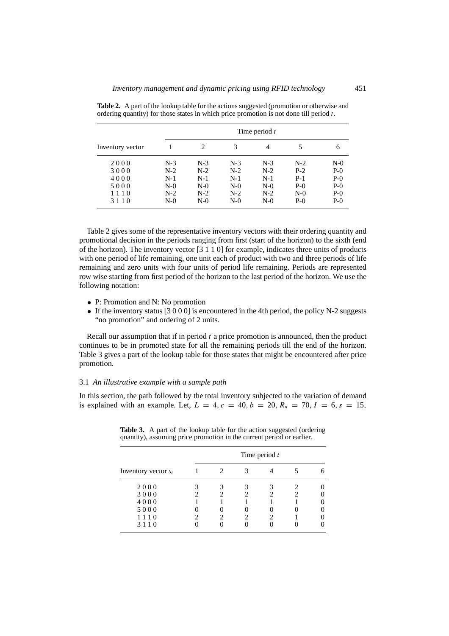|                  |       | Time period $t$ |       |       |       |       |  |  |  |  |
|------------------|-------|-----------------|-------|-------|-------|-------|--|--|--|--|
| Inventory vector |       | $\mathfrak{D}$  | 3     | 4     | 5     | 6     |  |  |  |  |
| 2000             | $N-3$ | $N-3$           | $N-3$ | $N-3$ | $N-2$ | $N-0$ |  |  |  |  |
| 3000             | $N-2$ | $N-2$           | $N-2$ | $N-2$ | $P-2$ | $P-0$ |  |  |  |  |
| 4000             | $N-1$ | $N-1$           | $N-1$ | $N-1$ | $P-1$ | $P-0$ |  |  |  |  |
| 5000             | $N-0$ | $N-0$           | $N-0$ | $N-0$ | $P-0$ | $P-0$ |  |  |  |  |
| 1110             | $N-2$ | $N-2$           | $N-2$ | $N-2$ | $N-0$ | $P-0$ |  |  |  |  |
| 3110             | $N-0$ | $N-0$           | $N-0$ | $N-0$ | $P-0$ | $P-0$ |  |  |  |  |

**Table 2.** A part of the lookup table for the actions suggested (promotion or otherwise and ordering quantity) for those states in which price promotion is not done till period  $t$ .

Table 2 gives some of the representative inventory vectors with their ordering quantity and promotional decision in the periods ranging from first (start of the horizon) to the sixth (end of the horizon). The inventory vector  $[3 1 1 0]$  for example, indicates three units of products with one period of life remaining, one unit each of product with two and three periods of life remaining and zero units with four units of period life remaining. Periods are represented row wise starting from first period of the horizon to the last period of the horizon. We use the following notation:

- P: Promotion and N: No promotion
- If the inventory status  $[3000]$  is encountered in the 4th period, the policy N-2 suggests "no promotion" and ordering of 2 units.

Recall our assumption that if in period  $t$  a price promotion is announced, then the product continues to be in promoted state for all the remaining periods till the end of the horizon. Table 3 gives a part of the lookup table for those states that might be encountered after price promotion.

#### 3.1 *An illustrative example with a sample path*

In this section, the path followed by the total inventory subjected to the variation of demand is explained with an example. Let,  $L = 4$ ,  $c = 40$ ,  $b = 20$ ,  $R_n = 70$ ,  $I = 6$ ,  $s = 15$ ,

|                        | Time period $t$ |   |  |  |  |  |  |  |
|------------------------|-----------------|---|--|--|--|--|--|--|
| Inventory vector $s_t$ |                 |   |  |  |  |  |  |  |
| 2000                   |                 | 3 |  |  |  |  |  |  |
| 3000                   |                 | 2 |  |  |  |  |  |  |
| 4000                   |                 |   |  |  |  |  |  |  |
| 5000                   |                 |   |  |  |  |  |  |  |
| 1110                   |                 |   |  |  |  |  |  |  |
| 3110                   |                 |   |  |  |  |  |  |  |

Table 3. A part of the lookup table for the action suggested (ordering quantity), assuming price promotion in the current period or earlier.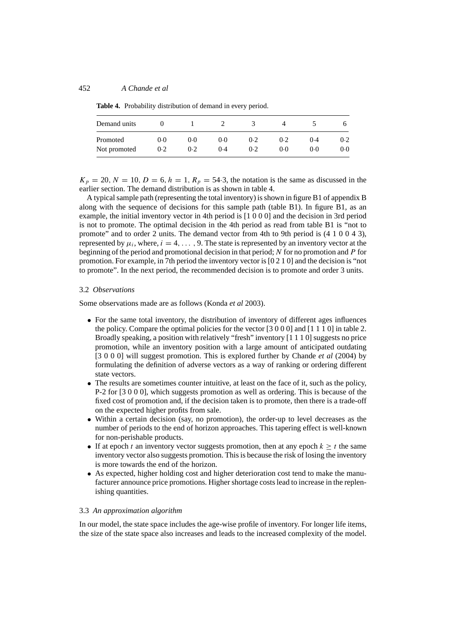| Demand units |         |       |     |     |     |     |     |
|--------------|---------|-------|-----|-----|-----|-----|-----|
| Promoted     | ( ) ( ) | $0-0$ | 0.0 | 0.2 | 0.2 | 0.4 | 0.2 |
| Not promoted | 0.2     | 0.2   | 0.4 | 0.2 | 0.0 | 0.0 | 0.0 |

**Table 4.** Probability distribution of demand in every period.

 $K_p = 20, N = 10, D = 6, h = 1, R_p = 54.3$ , the notation is the same as discussed in the earlier section. The demand distribution is as shown in table 4.

A typical sample path (representing the total inventory) is shown in figure B1 of appendix B along with the sequence of decisions for this sample path (table B1). In figure B1, as an example, the initial inventory vector in 4th period is [1 0 0 0] and the decision in 3rd period is not to promote. The optimal decision in the 4th period as read from table B1 is "not to promote" and to order 2 units. The demand vector from 4th to 9th period is (4 1 0 0 4 3), represented by  $\mu_i$ , where,  $i = 4, \ldots, 9$ . The state is represented by an inventory vector at the beginning of the period and promotional decision in that period; N for no promotion and P for promotion. For example, in 7th period the inventory vector is [0 2 1 0] and the decision is "not to promote". In the next period, the recommended decision is to promote and order 3 units.

#### 3.2 *Observations*

Some observations made are as follows (Konda *et al* 2003).

- For the same total inventory, the distribution of inventory of different ages influences the policy. Compare the optimal policies for the vector  $[3\ 0\ 0\ 0]$  and  $[1\ 1\ 1\ 0]$  in table 2. Broadly speaking, a position with relatively "fresh" inventory [1 1 1 0] suggests no price promotion, while an inventory position with a large amount of anticipated outdating [3 0 0 0] will suggest promotion. This is explored further by Chande *et al* (2004) by formulating the definition of adverse vectors as a way of ranking or ordering different state vectors.
- The results are sometimes counter intuitive, at least on the face of it, such as the policy, P-2 for [3 0 0 0], which suggests promotion as well as ordering. This is because of the fixed cost of promotion and, if the decision taken is to promote, then there is a trade-off on the expected higher profits from sale.
- Within a certain decision (say, no promotion), the order-up to level decreases as the number of periods to the end of horizon approaches. This tapering effect is well-known for non-perishable products.
- If at epoch t an inventory vector suggests promotion, then at any epoch  $k \geq t$  the same inventory vector also suggests promotion. This is because the risk of losing the inventory is more towards the end of the horizon.
- As expected, higher holding cost and higher deterioration cost tend to make the manufacturer announce price promotions. Higher shortage costs lead to increase in the replenishing quantities.

### 3.3 *An approximation algorithm*

In our model, the state space includes the age-wise profile of inventory. For longer life items, the size of the state space also increases and leads to the increased complexity of the model.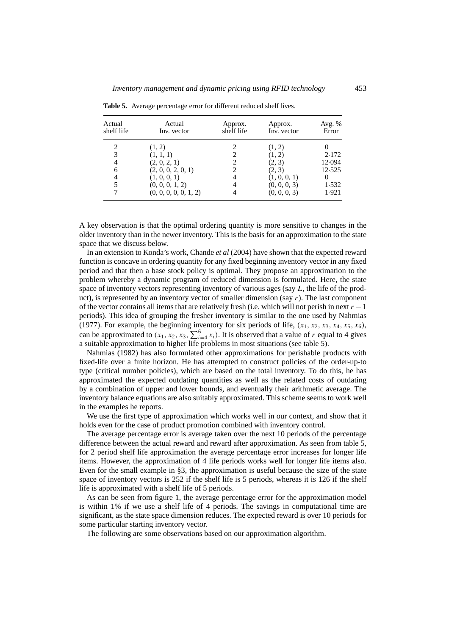| Actual<br>shelf life | Actual<br>Inv. vector | Approx.<br>shelf life | Approx.<br>Inv. vector | Avg. $%$<br>Error |
|----------------------|-----------------------|-----------------------|------------------------|-------------------|
|                      | (1, 2)                |                       | (1, 2)                 |                   |
| 3                    | (1, 1, 1)             |                       | (1, 2)                 | 2.172             |
| 4                    | (2, 0, 2, 1)          |                       | (2, 3)                 | 12.094            |
| 6                    | (2, 0, 0, 2, 0, 1)    |                       | (2, 3)                 | 12.525            |
| 4                    | (1, 0, 0, 1)          | 4                     | (1, 0, 0, 1)           |                   |
|                      | (0, 0, 0, 1, 2)       |                       | (0, 0, 0, 3)           | 1.532             |
|                      | (0, 0, 0, 0, 0, 1, 2) |                       | (0, 0, 0, 3)           | 1.921             |

**Table 5.** Average percentage error for different reduced shelf lives.

A key observation is that the optimal ordering quantity is more sensitive to changes in the older inventory than in the newer inventory. This is the basis for an approximation to the state space that we discuss below.

In an extension to Konda's work, Chande *et al* (2004) have shown that the expected reward function is concave in ordering quantity for any fixed beginning inventory vector in any fixed period and that then a base stock policy is optimal. They propose an approximation to the problem whereby a dynamic program of reduced dimension is formulated. Here, the state space of inventory vectors representing inventory of various ages (say L, the life of the product), is represented by an inventory vector of smaller dimension (say  $r$ ). The last component of the vector contains all items that are relatively fresh (i.e. which will not perish in next  $r - 1$ periods). This idea of grouping the fresher inventory is similar to the one used by Nahmias (1977). For example, the beginning inventory for six periods of life,  $(x_1, x_2, x_3, x_4, x_5, x_6)$ , can be approximated to  $(x_1, x_2, x_3, \sum_{i=4}^{6} x_i)$ . It is observed that a value of r equal to 4 gives a suitable approximation to higher life problems in most situations (see table 5).

Nahmias (1982) has also formulated other approximations for perishable products with fixed-life over a finite horizon. He has attempted to construct policies of the order-up-to type (critical number policies), which are based on the total inventory. To do this, he has approximated the expected outdating quantities as well as the related costs of outdating by a combination of upper and lower bounds, and eventually their arithmetic average. The inventory balance equations are also suitably approximated. This scheme seems to work well in the examples he reports.

We use the first type of approximation which works well in our context, and show that it holds even for the case of product promotion combined with inventory control.

The average percentage error is average taken over the next 10 periods of the percentage difference between the actual reward and reward after approximation. As seen from table 5, for 2 period shelf life approximation the average percentage error increases for longer life items. However, the approximation of 4 life periods works well for longer life items also. Even for the small example in §3, the approximation is useful because the size of the state space of inventory vectors is 252 if the shelf life is 5 periods, whereas it is 126 if the shelf life is approximated with a shelf life of 5 periods.

As can be seen from figure 1, the average percentage error for the approximation model is within 1% if we use a shelf life of 4 periods. The savings in computational time are significant, as the state space dimension reduces. The expected reward is over 10 periods for some particular starting inventory vector.

The following are some observations based on our approximation algorithm.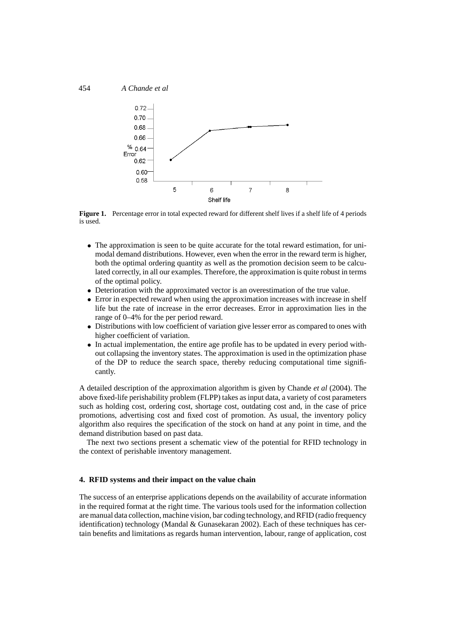

**Figure 1.** Percentage error in total expected reward for different shelf lives if a shelf life of 4 periods is used.

- The approximation is seen to be quite accurate for the total reward estimation, for unimodal demand distributions. However, even when the error in the reward term is higher, both the optimal ordering quantity as well as the promotion decision seem to be calculated correctly, in all our examples. Therefore, the approximation is quite robust in terms of the optimal policy.
- Deterioration with the approximated vector is an overestimation of the true value.
- Error in expected reward when using the approximation increases with increase in shelf life but the rate of increase in the error decreases. Error in approximation lies in the range of 0–4% for the per period reward.
- Distributions with low coefficient of variation give lesser error as compared to ones with higher coefficient of variation.
- In actual implementation, the entire age profile has to be updated in every period without collapsing the inventory states. The approximation is used in the optimization phase of the DP to reduce the search space, thereby reducing computational time significantly.

A detailed description of the approximation algorithm is given by Chande *et al* (2004). The above fixed-life perishability problem (FLPP) takes as input data, a variety of cost parameters such as holding cost, ordering cost, shortage cost, outdating cost and, in the case of price promotions, advertising cost and fixed cost of promotion. As usual, the inventory policy algorithm also requires the specification of the stock on hand at any point in time, and the demand distribution based on past data.

The next two sections present a schematic view of the potential for RFID technology in the context of perishable inventory management.

#### **4. RFID systems and their impact on the value chain**

The success of an enterprise applications depends on the availability of accurate information in the required format at the right time. The various tools used for the information collection are manual data collection, machine vision, bar coding technology, and RFID (radio frequency identification) technology (Mandal & Gunasekaran 2002). Each of these techniques has certain benefits and limitations as regards human intervention, labour, range of application, cost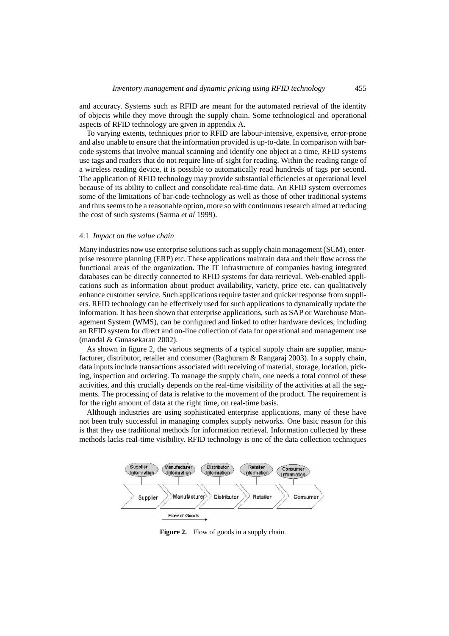and accuracy. Systems such as RFID are meant for the automated retrieval of the identity of objects while they move through the supply chain. Some technological and operational aspects of RFID technology are given in appendix A.

To varying extents, techniques prior to RFID are labour-intensive, expensive, error-prone and also unable to ensure that the information provided is up-to-date. In comparison with barcode systems that involve manual scanning and identify one object at a time, RFID systems use tags and readers that do not require line-of-sight for reading. Within the reading range of a wireless reading device, it is possible to automatically read hundreds of tags per second. The application of RFID technology may provide substantial efficiencies at operational level because of its ability to collect and consolidate real-time data. An RFID system overcomes some of the limitations of bar-code technology as well as those of other traditional systems and thus seems to be a reasonable option, more so with continuous research aimed at reducing the cost of such systems (Sarma *et al* 1999).

#### 4.1 *Impact on the value chain*

Many industries now use enterprise solutions such as supply chain management (SCM), enterprise resource planning (ERP) etc. These applications maintain data and their flow across the functional areas of the organization. The IT infrastructure of companies having integrated databases can be directly connected to RFID systems for data retrieval. Web-enabled applications such as information about product availability, variety, price etc. can qualitatively enhance customer service. Such applications require faster and quicker response from suppliers. RFID technology can be effectively used for such applications to dynamically update the information. It has been shown that enterprise applications, such as SAP or Warehouse Management System (WMS), can be configured and linked to other hardware devices, including an RFID system for direct and on-line collection of data for operational and management use (mandal & Gunasekaran 2002).

As shown in figure 2, the various segments of a typical supply chain are supplier, manufacturer, distributor, retailer and consumer (Raghuram & Rangaraj 2003). In a supply chain, data inputs include transactions associated with receiving of material, storage, location, picking, inspection and ordering. To manage the supply chain, one needs a total control of these activities, and this crucially depends on the real-time visibility of the activities at all the segments. The processing of data is relative to the movement of the product. The requirement is for the right amount of data at the right time, on real-time basis.

Although industries are using sophisticated enterprise applications, many of these have not been truly successful in managing complex supply networks. One basic reason for this is that they use traditional methods for information retrieval. Information collected by these methods lacks real-time visibility. RFID technology is one of the data collection techniques



Figure 2. Flow of goods in a supply chain.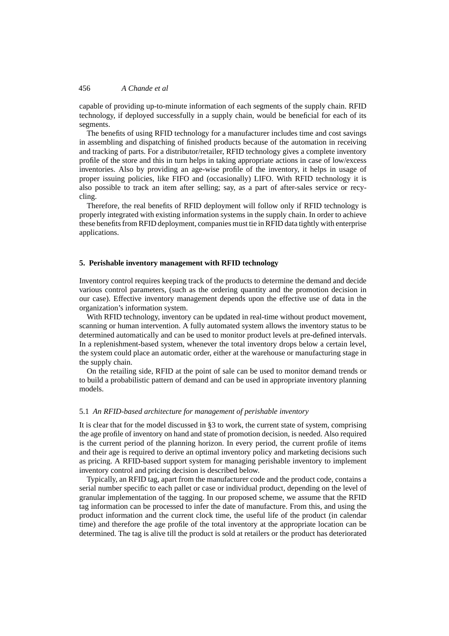capable of providing up-to-minute information of each segments of the supply chain. RFID technology, if deployed successfully in a supply chain, would be beneficial for each of its segments.

The benefits of using RFID technology for a manufacturer includes time and cost savings in assembling and dispatching of finished products because of the automation in receiving and tracking of parts. For a distributor/retailer, RFID technology gives a complete inventory profile of the store and this in turn helps in taking appropriate actions in case of low/excess inventories. Also by providing an age-wise profile of the inventory, it helps in usage of proper issuing policies, like FIFO and (occasionally) LIFO. With RFID technology it is also possible to track an item after selling; say, as a part of after-sales service or recycling.

Therefore, the real benefits of RFID deployment will follow only if RFID technology is properly integrated with existing information systems in the supply chain. In order to achieve these benefits from RFID deployment, companies must tie in RFID data tightly with enterprise applications.

# **5. Perishable inventory management with RFID technology**

Inventory control requires keeping track of the products to determine the demand and decide various control parameters, (such as the ordering quantity and the promotion decision in our case). Effective inventory management depends upon the effective use of data in the organization's information system.

With RFID technology, inventory can be updated in real-time without product movement, scanning or human intervention. A fully automated system allows the inventory status to be determined automatically and can be used to monitor product levels at pre-defined intervals. In a replenishment-based system, whenever the total inventory drops below a certain level, the system could place an automatic order, either at the warehouse or manufacturing stage in the supply chain.

On the retailing side, RFID at the point of sale can be used to monitor demand trends or to build a probabilistic pattern of demand and can be used in appropriate inventory planning models.

# 5.1 *An RFID-based architecture for management of perishable inventory*

It is clear that for the model discussed in §3 to work, the current state of system, comprising the age profile of inventory on hand and state of promotion decision, is needed. Also required is the current period of the planning horizon. In every period, the current profile of items and their age is required to derive an optimal inventory policy and marketing decisions such as pricing. A RFID-based support system for managing perishable inventory to implement inventory control and pricing decision is described below.

Typically, an RFID tag, apart from the manufacturer code and the product code, contains a serial number specific to each pallet or case or individual product, depending on the level of granular implementation of the tagging. In our proposed scheme, we assume that the RFID tag information can be processed to infer the date of manufacture. From this, and using the product information and the current clock time, the useful life of the product (in calendar time) and therefore the age profile of the total inventory at the appropriate location can be determined. The tag is alive till the product is sold at retailers or the product has deteriorated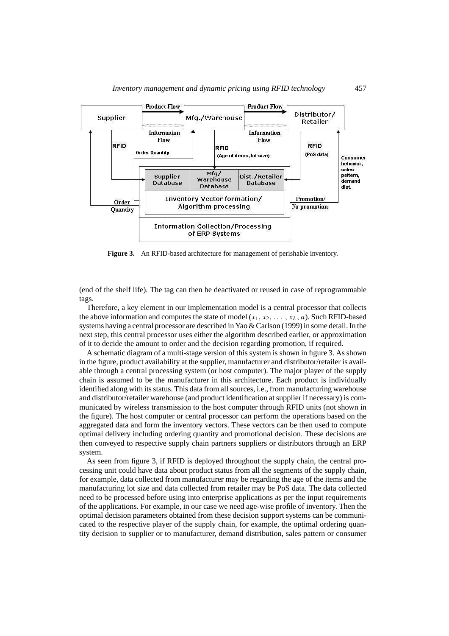

**Figure 3.** An RFID-based architecture for management of perishable inventory.

(end of the shelf life). The tag can then be deactivated or reused in case of reprogrammable tags.

Therefore, a key element in our implementation model is a central processor that collects the above information and computes the state of model  $(x_1, x_2, \ldots, x_L, a)$ . Such RFID-based systems having a central processor are described in Yao & Carlson (1999) in some detail. In the next step, this central processor uses either the algorithm described earlier, or approximation of it to decide the amount to order and the decision regarding promotion, if required.

A schematic diagram of a multi-stage version of this system is shown in figure 3. As shown in the figure, product availability at the supplier, manufacturer and distributor/retailer is available through a central processing system (or host computer). The major player of the supply chain is assumed to be the manufacturer in this architecture. Each product is individually identified along with its status. This data from all sources, i.e., from manufacturing warehouse and distributor/retailer warehouse (and product identification at supplier if necessary) is communicated by wireless transmission to the host computer through RFID units (not shown in the figure). The host computer or central processor can perform the operations based on the aggregated data and form the inventory vectors. These vectors can be then used to compute optimal delivery including ordering quantity and promotional decision. These decisions are then conveyed to respective supply chain partners suppliers or distributors through an ERP system.

As seen from figure 3, if RFID is deployed throughout the supply chain, the central processing unit could have data about product status from all the segments of the supply chain, for example, data collected from manufacturer may be regarding the age of the items and the manufacturing lot size and data collected from retailer may be PoS data. The data collected need to be processed before using into enterprise applications as per the input requirements of the applications. For example, in our case we need age-wise profile of inventory. Then the optimal decision parameters obtained from these decision support systems can be communicated to the respective player of the supply chain, for example, the optimal ordering quantity decision to supplier or to manufacturer, demand distribution, sales pattern or consumer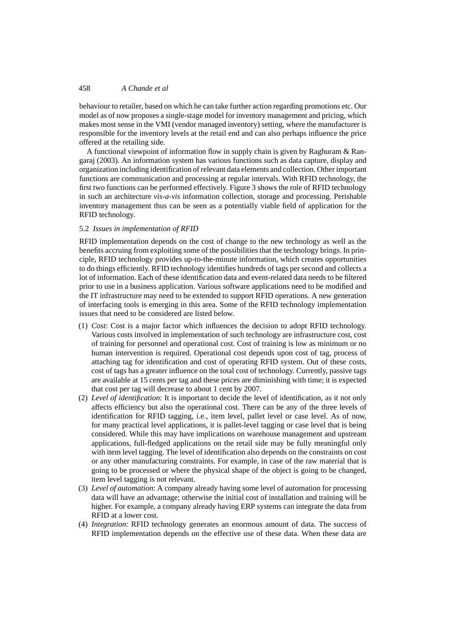behaviour to retailer, based on which he can take further action regarding promotions etc. Our model as of now proposes a single-stage model for inventory management and pricing, which makes most sense in the VMI (vendor managed inventory) setting, where the manufacturer is responsible for the inventory levels at the retail end and can also perhaps influence the price offered at the retailing side.

A functional viewpoint of information flow in supply chain is given by Raghuram & Rangaraj (2003). An information system has various functions such as data capture, display and organization including identification of relevant data elements and collection. Other important functions are communication and processing at regular intervals. With RFID technology, the first two functions can be performed effectively. Figure 3 shows the role of RFID technology in such an architecture *vis-a-vis* information collection, storage and processing. Perishable inventory management thus can be seen as a potentially viable field of application for the RFID technology.

# 5.2 *Issues in implementation of RFID*

RFID implementation depends on the cost of change to the new technology as well as the benefits accruing from exploiting some of the possibilities that the technology brings. In principle, RFID technology provides up-to-the-minute information, which creates opportunities to do things efficiently. RFID technology identifies hundreds of tags per second and collects a lot of information. Each of these identification data and event-related data needs to be filtered prior to use in a business application. Various software applications need to be modified and the IT infrastructure may need to be extended to support RFID operations. A new generation of interfacing tools is emerging in this area. Some of the RFID technology implementation issues that need to be considered are listed below.

- (1) *Cost*: Cost is a major factor which influences the decision to adopt RFID technology. Various costs involved in implementation of such technology are infrastructure cost, cost of training for personnel and operational cost. Cost of training is low as minimum or no human intervention is required. Operational cost depends upon cost of tag, process of attaching tag for identification and cost of operating RFID system. Out of these costs, cost of tags has a greater influence on the total cost of technology. Currently, passive tags are available at 15 cents per tag and these prices are diminishing with time; it is expected that cost per tag will decrease to about 1 cent by 2007.
- (2) *Level of identification*: It is important to decide the level of identification, as it not only affects efficiency but also the operational cost. There can be any of the three levels of identification for RFID tagging, i.e., item level, pallet level or case level. As of now, for many practical level applications, it is pallet-level tagging or case level that is being considered. While this may have implications on warehouse management and upstream applications, full-fledged applications on the retail side may be fully meaningful only with item level tagging. The level of identification also depends on the constraints on cost or any other manufacturing constraints. For example, in case of the raw material that is going to be processed or where the physical shape of the object is going to be changed, item level tagging is not relevant.
- (3) *Level of automation*: A company already having some level of automation for processing data will have an advantage; otherwise the initial cost of installation and training will be higher. For example, a company already having ERP systems can integrate the data from RFID at a lower cost.
- (4) *Integration*: RFID technology generates an enormous amount of data. The success of RFID implementation depends on the effective use of these data. When these data are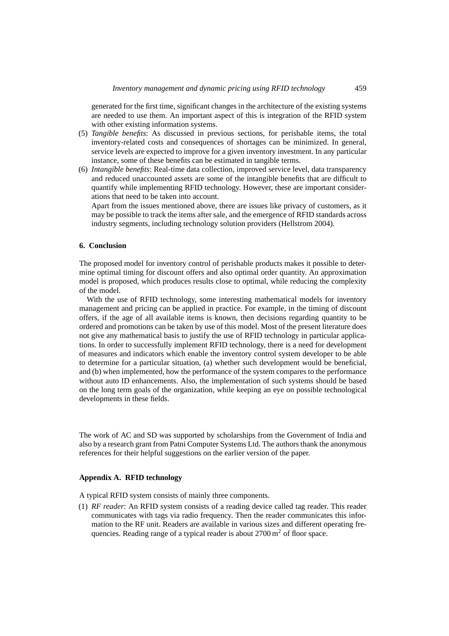generated for the first time, significant changes in the architecture of the existing systems are needed to use them. An important aspect of this is integration of the RFID system with other existing information systems.

- (5) *Tangible benefits*: As discussed in previous sections, for perishable items, the total inventory-related costs and consequences of shortages can be minimized. In general, service levels are expected to improve for a given inventory investment. In any particular instance, some of these benefits can be estimated in tangible terms.
- (6) *Intangible benefits*: Real-time data collection, improved service level, data transparency and reduced unaccounted assets are some of the intangible benefits that are difficult to quantify while implementing RFID technology. However, these are important considerations that need to be taken into account.

Apart from the issues mentioned above, there are issues like privacy of customers, as it may be possible to track the items after sale, and the emergence of RFID standards across industry segments, including technology solution providers (Hellstrom 2004).

# **6. Conclusion**

The proposed model for inventory control of perishable products makes it possible to determine optimal timing for discount offers and also optimal order quantity. An approximation model is proposed, which produces results close to optimal, while reducing the complexity of the model.

With the use of RFID technology, some interesting mathematical models for inventory management and pricing can be applied in practice. For example, in the timing of discount offers, if the age of all available items is known, then decisions regarding quantity to be ordered and promotions can be taken by use of this model. Most of the present literature does not give any mathematical basis to justify the use of RFID technology in particular applications. In order to successfully implement RFID technology, there is a need for development of measures and indicators which enable the inventory control system developer to be able to determine for a particular situation, (a) whether such development would be beneficial, and (b) when implemented, how the performance of the system compares to the performance without auto ID enhancements. Also, the implementation of such systems should be based on the long term goals of the organization, while keeping an eye on possible technological developments in these fields.

The work of AC and SD was supported by scholarships from the Government of India and also by a research grant from Patni Computer Systems Ltd. The authors thank the anonymous references for their helpful suggestions on the earlier version of the paper.

# **Appendix A. RFID technology**

A typical RFID system consists of mainly three components.

(1) *RF reader*: An RFID system consists of a reading device called tag reader. This reader communicates with tags via radio frequency. Then the reader communicates this information to the RF unit. Readers are available in various sizes and different operating frequencies. Reading range of a typical reader is about  $2700 \text{ m}^2$  of floor space.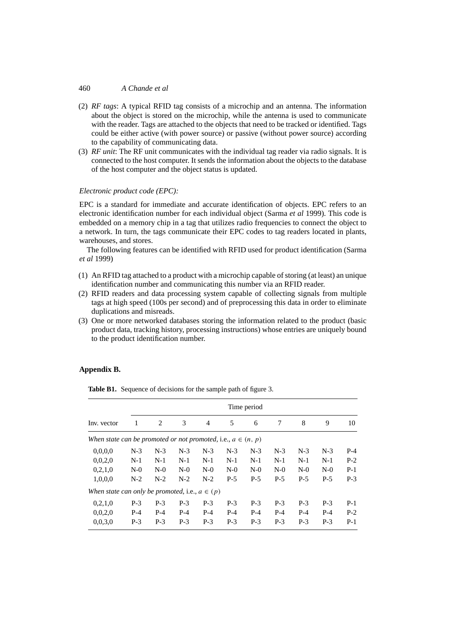- (2) *RF tags*: A typical RFID tag consists of a microchip and an antenna. The information about the object is stored on the microchip, while the antenna is used to communicate with the reader. Tags are attached to the objects that need to be tracked or identified. Tags could be either active (with power source) or passive (without power source) according to the capability of communicating data.
- (3) *RF unit*: The RF unit communicates with the individual tag reader via radio signals. It is connected to the host computer. It sends the information about the objects to the database of the host computer and the object status is updated.

### *Electronic product code (EPC):*

EPC is a standard for immediate and accurate identification of objects. EPC refers to an electronic identification number for each individual object (Sarma *et al* 1999). This code is embedded on a memory chip in a tag that utilizes radio frequencies to connect the object to a network. In turn, the tags communicate their EPC codes to tag readers located in plants, warehouses, and stores.

The following features can be identified with RFID used for product identification (Sarma *et al* 1999)

- (1) An RFID tag attached to a product with a microchip capable of storing (at least) an unique identification number and communicating this number via an RFID reader.
- (2) RFID readers and data processing system capable of collecting signals from multiple tags at high speed (100s per second) and of preprocessing this data in order to eliminate duplications and misreads.
- (3) One or more networked databases storing the information related to the product (basic product data, tracking history, processing instructions) whose entries are uniquely bound to the product identification number.

### **Appendix B.**

**Table B1.** Sequence of decisions for the sample path of figure 3.

|                                                                  | Time period |       |       |       |       |       |       |       |       |       |
|------------------------------------------------------------------|-------------|-------|-------|-------|-------|-------|-------|-------|-------|-------|
| Inv. vector                                                      | 1           | 2     | 3     | 4     | 5     | 6     | 7     | 8     | 9     | 10    |
| When state can be promoted or not promoted, i.e., $a \in (n, p)$ |             |       |       |       |       |       |       |       |       |       |
| 0.0.0.0                                                          | $N-3$       | $N-3$ | $N-3$ | $N-3$ | $N-3$ | $N-3$ | $N-3$ | $N-3$ | $N-3$ | $P-4$ |
| 0,0,2,0                                                          | $N-1$       | $N-1$ | $N-1$ | $N-1$ | $N-1$ | $N-1$ | $N-1$ | $N-1$ | $N-1$ | $P-2$ |
| 0,2,1,0                                                          | $N-0$       | $N-0$ | $N-0$ | $N-0$ | $N-0$ | $N-0$ | $N-0$ | $N-0$ | $N-0$ | $P-1$ |
| 1,0,0,0                                                          | $N-2$       | $N-2$ | $N-2$ | $N-2$ | $P-5$ | $P-5$ | $P-5$ | $P-5$ | $P-5$ | $P-3$ |
| When state can only be promoted, i.e., $a \in (p)$               |             |       |       |       |       |       |       |       |       |       |
| 0,2,1,0                                                          | $P-3$       | $P-3$ | $P-3$ | $P-3$ | $P-3$ | $P-3$ | $P-3$ | $P-3$ | $P-3$ | $P-1$ |
| 0,0,2,0                                                          | $P-4$       | $P-4$ | $P-4$ | $P-4$ | $P-4$ | $P-4$ | $P-4$ | $P-4$ | $P-4$ | $P-2$ |
| 0,0,3,0                                                          | $P-3$       | $P-3$ | $P-3$ | $P-3$ | $P-3$ | $P-3$ | $P-3$ | $P-3$ | $P-3$ | $P-1$ |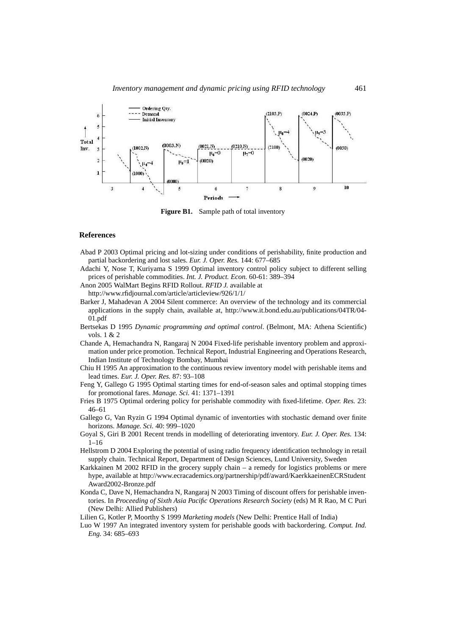

**Figure B1.** Sample path of total inventory

#### **References**

- Abad P 2003 Optimal pricing and lot-sizing under conditions of perishability, finite production and partial backordering and lost sales. *Eur. J. Oper. Res.* 144: 677–685
- Adachi Y, Nose T, Kuriyama S 1999 Optimal inventory control policy subject to different selling prices of perishable commodities. *Int. J. Product. Econ.* 60-61: 389–394
- Anon 2005 WalMart Begins RFID Rollout. *RFID J.* available at

http://www.rfidjournal.com/article/articleview/926/1/1/

- Barker J, Mahadevan A 2004 Silent commerce: An overview of the technology and its commercial applications in the supply chain, available at, http://www.it.bond.edu.au/publications/04TR/04- 01.pdf
- Bertsekas D 1995 *Dynamic programming and optimal control*. (Belmont, MA: Athena Scientific) vols. 1 & 2
- Chande A, Hemachandra N, Rangaraj N 2004 Fixed-life perishable inventory problem and approximation under price promotion. Technical Report, Industrial Engineering and Operations Research, Indian Institute of Technology Bombay, Mumbai
- Chiu H 1995 An approximation to the continuous review inventory model with perishable items and lead times. *Eur. J. Oper. Res.* 87: 93–108
- Feng Y, Gallego G 1995 Optimal starting times for end-of-season sales and optimal stopping times for promotional fares. *Manage. Sci.* 41: 1371–1391
- Fries B 1975 Optimal ordering policy for perishable commodity with fixed-lifetime. *Oper. Res.* 23: 46–61
- Gallego G, Van Ryzin G 1994 Optimal dynamic of inventorties with stochastic demand over finite horizons. *Manage. Sci.* 40: 999–1020
- Goyal S, Giri B 2001 Recent trends in modelling of deteriorating inventory. *Eur. J. Oper. Res.* 134: 1–16
- Hellstrom D 2004 Exploring the potential of using radio frequency identification technology in retail supply chain. Technical Report, Department of Design Sciences, Lund University, Sweden
- Karkkainen M 2002 RFID in the grocery supply chain a remedy for logistics problems or mere hype, available at http://www.ecracademics.org/partnership/pdf/award/KaerkkaeinenECRStudent Award2002-Bronze.pdf
- Konda C, Dave N, Hemachandra N, Rangaraj N 2003 Timing of discount offers for perishable inventories. In *Proceeding of Sixth Asia Pacific Operations Research Society* (eds) M R Rao, M C Puri (New Delhi: Allied Publishers)
- Lilien G, Kotler P, Moorthy S 1999 *Marketing models* (New Delhi: Prentice Hall of India)
- Luo W 1997 An integrated inventory system for perishable goods with backordering. *Comput. Ind. Eng.* 34: 685–693